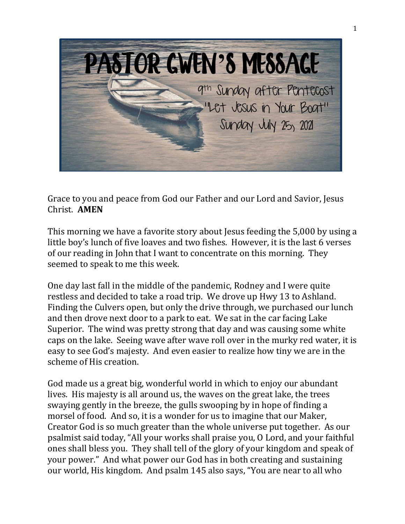

Grace to you and peace from God our Father and our Lord and Savior, Jesus Christ. **AMEN**

This morning we have a favorite story about Jesus feeding the 5,000 by using a little boy's lunch of five loaves and two fishes. However, it is the last 6 verses<br>of our reading in John that I want to concentrate on this morning. They of our reading in John that I want to concentrate on this morning. They seemed to speak to me this week.

One day last fall in the middle of the pandemic, Rodney and I were quite restless and decided to take a road trip. We drove up Hwy 13 to Ashland. Finding the Culvers open, but only the drive through, we purchased our lunch and then drove next door to a park to eat. We sat in the car facing Lake Superior. The wind was pretty strong that day and was causing some white caps on the lake. Seeing wave after wave roll over in the murky red water, it is easy to see God's majesty. And even easier to realize how tiny we are in the scheme of His creation.

God made us a great big, wonderful world in which to enjoy our abundant lives. His majesty is all around us, the waves on the great lake, the trees swaying gently in the breeze, the gulls swooping by in hope of finding a morsel of food. And so, it is a wonder for us to imagine that our Maker, Creator God is so much greater than the whole universe put together. As our psalmist said today, "All your works shall praise you, O Lord, and your faithful ones shall bless you. They shall tell of the glory of your kingdom and speak of your power." And what power our God has in both creating and sustaining our world, His kingdom. And psalm 145 also says, "You are near to all who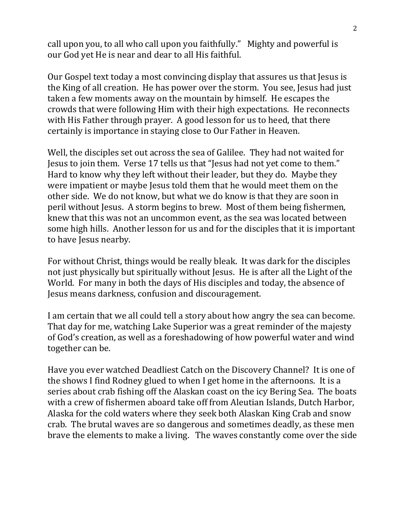call upon you, to all who call upon you faithfully." Mighty and powerful is our God yet He is near and dear to all His faithful.

Our Gospel text today a most convincing display that assures us that Jesus is the King of all creation. He has power over the storm. You see, Jesus had just taken a few moments away on the mountain by himself. He escapes the crowds that were following Him with their high expectations. He reconnects with His Father through prayer. A good lesson for us to heed, that there certainly is importance in staying close to Our Father in Heaven.

Well, the disciples set out across the sea of Galilee. They had not waited for Jesus to join them. Verse 17 tells us that "Jesus had not yet come to them." Hard to know why they left without their leader, but they do. Maybe they were impatient or maybe Jesus told them that he would meet them on the other side. We do not know, but what we do know is that they are soon in peril without Jesus. A storm begins to brew. Most of them being fishermen, knew that this was not an uncommon event, as the sea was located between some high hills. Another lesson for us and for the disciples that it is important to have Jesus nearby.

For without Christ, things would be really bleak. It was dark for the disciples not just physically but spiritually without Jesus. He is after all the Light of the World. For many in both the days of His disciples and today, the absence of Jesus means darkness, confusion and discouragement.

I am certain that we all could tell a story about how angry the sea can become. That day for me, watching Lake Superior was a great reminder of the majesty of God's creation, as well as a foreshadowing of how powerful water and wind together can be.

Have you ever watched Deadliest Catch on the Discovery Channel? It is one of the shows I find Rodney glued to when I get home in the afternoons. It is a series about crab fishing off the Alaskan coast on the icy Bering Sea. The boats with a crew of fishermen aboard take off from Aleutian Islands, Dutch Harbor, Alaska for the cold waters where they seek both Alaskan King Crab and snow crab. The brutal waves are so dangerous and sometimes deadly, as these men brave the elements to make a living. The waves constantly come over the side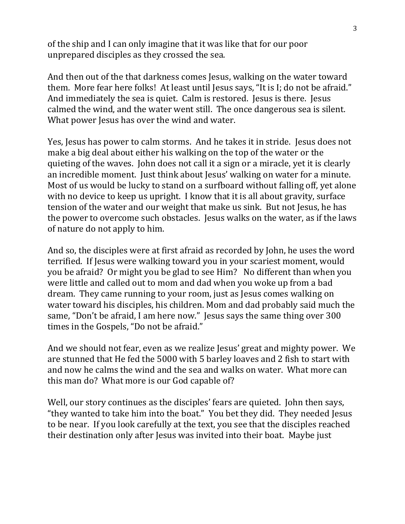of the ship and I can only imagine that it was like that for our poor unprepared disciples as they crossed the sea.

And then out of the that darkness comes Jesus, walking on the water toward them. More fear here folks! At least until Jesus says, "It is I; do not be afraid." And immediately the sea is quiet. Calm is restored. Jesus is there. Jesus calmed the wind, and the water went still. The once dangerous sea is silent. What power Jesus has over the wind and water.

Yes, Jesus has power to calm storms. And he takes it in stride. Jesus does not make a big deal about either his walking on the top of the water or the quieting of the waves. John does not call it a sign or a miracle, yet it is clearly an incredible moment. Just think about Jesus' walking on water for a minute. Most of us would be lucky to stand on a surfboard without falling off, yet alone with no device to keep us upright. I know that it is all about gravity, surface tension of the water and our weight that make us sink. But not Jesus, he has the power to overcome such obstacles. Jesus walks on the water, as if the laws of nature do not apply to him.

And so, the disciples were at first afraid as recorded by John, he uses the word terrified. If Jesus were walking toward you in your scariest moment, would you be afraid? Or might you be glad to see Him? No different than when you were little and called out to mom and dad when you woke up from a bad dream. They came running to your room, just as Jesus comes walking on water toward his disciples, his children. Mom and dad probably said much the same, "Don't be afraid, I am here now." Jesus says the same thing over 300 times in the Gospels, "Do not be afraid."

And we should not fear, even as we realize Jesus' great and mighty power. We are stunned that He fed the 5000 with 5 barley loaves and 2 fish to start with and now he calms the wind and the sea and walks on water. What more can this man do? What more is our God capable of?

Well, our story continues as the disciples' fears are quieted. John then says, "they wanted to take him into the boat." You bet they did. They needed Jesus to be near. If you look carefully at the text, you see that the disciples reached their destination only after Jesus was invited into their boat. Maybe just